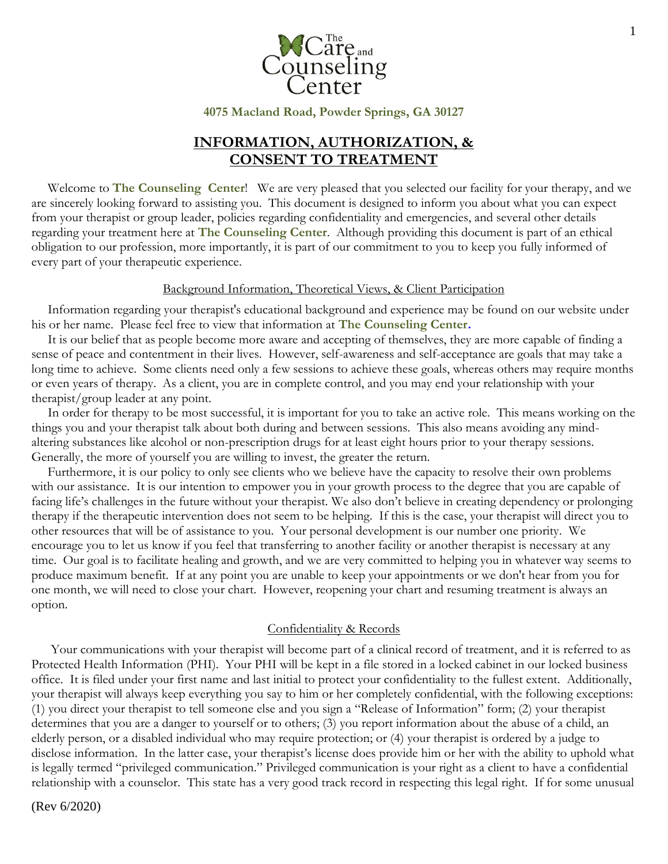

### **4075 Macland Road, Powder Springs, GA 30127**

# **INFORMATION, AUTHORIZATION, & CONSENT TO TREATMENT**

 Welcome to **The Counseling Center**! We are very pleased that you selected our facility for your therapy, and we are sincerely looking forward to assisting you. This document is designed to inform you about what you can expect from your therapist or group leader, policies regarding confidentiality and emergencies, and several other details regarding your treatment here at **The Counseling Center**. Although providing this document is part of an ethical obligation to our profession, more importantly, it is part of our commitment to you to keep you fully informed of every part of your therapeutic experience.

### Background Information, Theoretical Views, & Client Participation

 Information regarding your therapist's educational background and experience may be found on our website under his or her name. Please feel free to view that information at **The Counseling Center.** 

 It is our belief that as people become more aware and accepting of themselves, they are more capable of finding a sense of peace and contentment in their lives. However, self-awareness and self-acceptance are goals that may take a long time to achieve. Some clients need only a few sessions to achieve these goals, whereas others may require months or even years of therapy. As a client, you are in complete control, and you may end your relationship with your therapist/group leader at any point.

 In order for therapy to be most successful, it is important for you to take an active role. This means working on the things you and your therapist talk about both during and between sessions. This also means avoiding any mindaltering substances like alcohol or non-prescription drugs for at least eight hours prior to your therapy sessions. Generally, the more of yourself you are willing to invest, the greater the return.

 Furthermore, it is our policy to only see clients who we believe have the capacity to resolve their own problems with our assistance. It is our intention to empower you in your growth process to the degree that you are capable of facing life's challenges in the future without your therapist. We also don't believe in creating dependency or prolonging therapy if the therapeutic intervention does not seem to be helping. If this is the case, your therapist will direct you to other resources that will be of assistance to you. Your personal development is our number one priority. We encourage you to let us know if you feel that transferring to another facility or another therapist is necessary at any time. Our goal is to facilitate healing and growth, and we are very committed to helping you in whatever way seems to produce maximum benefit. If at any point you are unable to keep your appointments or we don't hear from you for one month, we will need to close your chart. However, reopening your chart and resuming treatment is always an option.

### Confidentiality & Records

 Your communications with your therapist will become part of a clinical record of treatment, and it is referred to as Protected Health Information (PHI). Your PHI will be kept in a file stored in a locked cabinet in our locked business office. It is filed under your first name and last initial to protect your confidentiality to the fullest extent. Additionally, your therapist will always keep everything you say to him or her completely confidential, with the following exceptions: (1) you direct your therapist to tell someone else and you sign a "Release of Information" form; (2) your therapist determines that you are a danger to yourself or to others; (3) you report information about the abuse of a child, an elderly person, or a disabled individual who may require protection; or (4) your therapist is ordered by a judge to disclose information. In the latter case, your therapist's license does provide him or her with the ability to uphold what is legally termed "privileged communication." Privileged communication is your right as a client to have a confidential relationship with a counselor. This state has a very good track record in respecting this legal right. If for some unusual

(Rev 6/2020)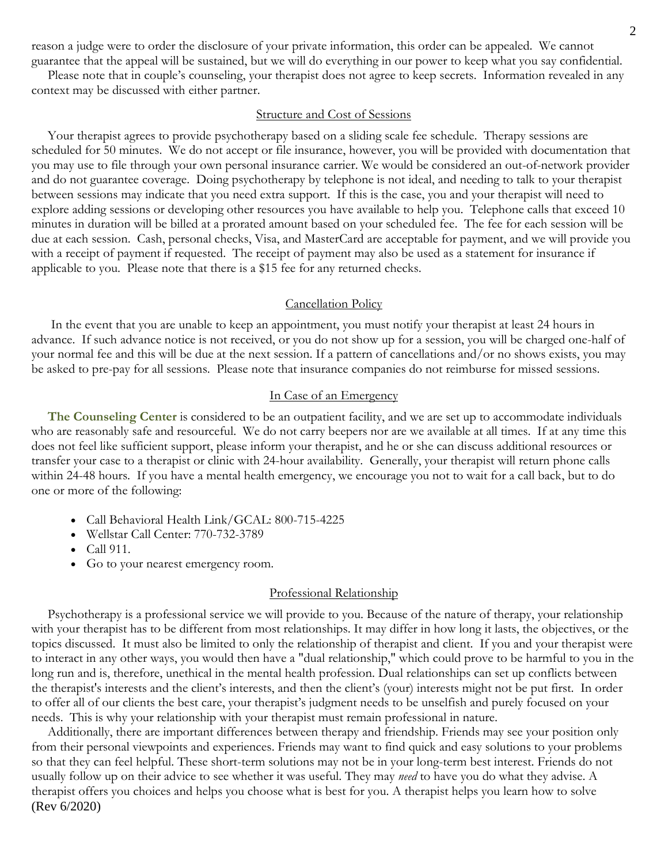reason a judge were to order the disclosure of your private information, this order can be appealed. We cannot guarantee that the appeal will be sustained, but we will do everything in our power to keep what you say confidential.

 Please note that in couple's counseling, your therapist does not agree to keep secrets. Information revealed in any context may be discussed with either partner.

### Structure and Cost of Sessions

 Your therapist agrees to provide psychotherapy based on a sliding scale fee schedule. Therapy sessions are scheduled for 50 minutes. We do not accept or file insurance, however, you will be provided with documentation that you may use to file through your own personal insurance carrier. We would be considered an out-of-network provider and do not guarantee coverage. Doing psychotherapy by telephone is not ideal, and needing to talk to your therapist between sessions may indicate that you need extra support. If this is the case, you and your therapist will need to explore adding sessions or developing other resources you have available to help you. Telephone calls that exceed 10 minutes in duration will be billed at a prorated amount based on your scheduled fee. The fee for each session will be due at each session. Cash, personal checks, Visa, and MasterCard are acceptable for payment, and we will provide you with a receipt of payment if requested. The receipt of payment may also be used as a statement for insurance if applicable to you. Please note that there is a \$15 fee for any returned checks.

#### Cancellation Policy

 In the event that you are unable to keep an appointment, you must notify your therapist at least 24 hours in advance. If such advance notice is not received, or you do not show up for a session, you will be charged one-half of your normal fee and this will be due at the next session. If a pattern of cancellations and/or no shows exists, you may be asked to pre-pay for all sessions. Please note that insurance companies do not reimburse for missed sessions.

#### In Case of an Emergency

 **The Counseling Center** is considered to be an outpatient facility, and we are set up to accommodate individuals who are reasonably safe and resourceful. We do not carry beepers nor are we available at all times. If at any time this does not feel like sufficient support, please inform your therapist, and he or she can discuss additional resources or transfer your case to a therapist or clinic with 24-hour availability. Generally, your therapist will return phone calls within 24-48 hours. If you have a mental health emergency, we encourage you not to wait for a call back, but to do one or more of the following:

- Call Behavioral Health Link/GCAL: 800-715-4225
- Wellstar Call Center: 770-732-3789
- Call 911.
- Go to your nearest emergency room.

### Professional Relationship

 Psychotherapy is a professional service we will provide to you. Because of the nature of therapy, your relationship with your therapist has to be different from most relationships. It may differ in how long it lasts, the objectives, or the topics discussed. It must also be limited to only the relationship of therapist and client. If you and your therapist were to interact in any other ways, you would then have a "dual relationship," which could prove to be harmful to you in the long run and is, therefore, unethical in the mental health profession. Dual relationships can set up conflicts between the therapist's interests and the client's interests, and then the client's (your) interests might not be put first. In order to offer all of our clients the best care, your therapist's judgment needs to be unselfish and purely focused on your needs. This is why your relationship with your therapist must remain professional in nature.

(Rev 6/2020) Additionally, there are important differences between therapy and friendship. Friends may see your position only from their personal viewpoints and experiences. Friends may want to find quick and easy solutions to your problems so that they can feel helpful. These short-term solutions may not be in your long-term best interest. Friends do not usually follow up on their advice to see whether it was useful. They may *need* to have you do what they advise. A therapist offers you choices and helps you choose what is best for you. A therapist helps you learn how to solve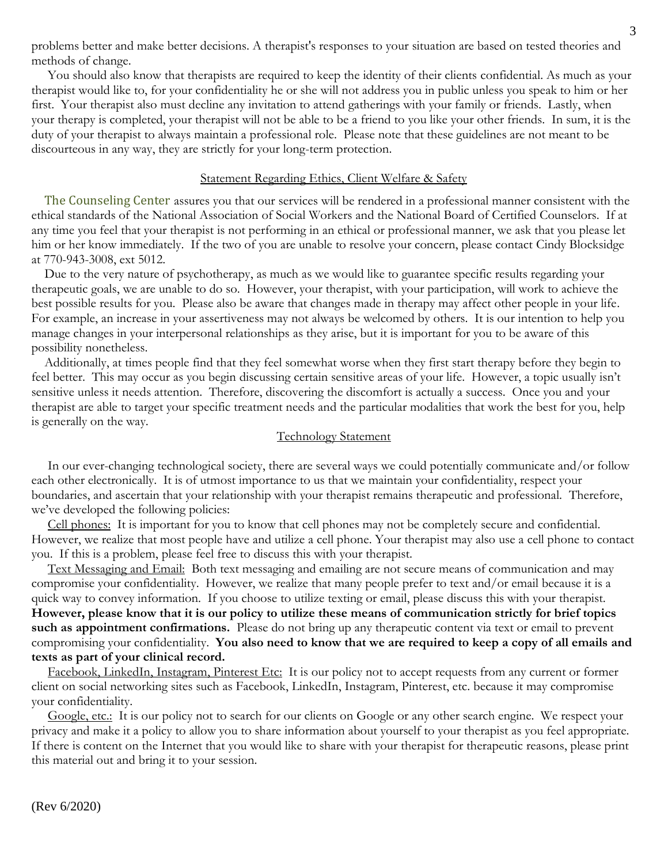problems better and make better decisions. A therapist's responses to your situation are based on tested theories and methods of change.

 You should also know that therapists are required to keep the identity of their clients confidential. As much as your therapist would like to, for your confidentiality he or she will not address you in public unless you speak to him or her first. Your therapist also must decline any invitation to attend gatherings with your family or friends. Lastly, when your therapy is completed, your therapist will not be able to be a friend to you like your other friends. In sum, it is the duty of your therapist to always maintain a professional role. Please note that these guidelines are not meant to be discourteous in any way, they are strictly for your long-term protection.

#### Statement Regarding Ethics, Client Welfare & Safety

 The Counseling Center assures you that our services will be rendered in a professional manner consistent with the ethical standards of the National Association of Social Workers and the National Board of Certified Counselors. If at any time you feel that your therapist is not performing in an ethical or professional manner, we ask that you please let him or her know immediately. If the two of you are unable to resolve your concern, please contact Cindy Blocksidge at 770-943-3008, ext 5012.

 Due to the very nature of psychotherapy, as much as we would like to guarantee specific results regarding your therapeutic goals, we are unable to do so. However, your therapist, with your participation, will work to achieve the best possible results for you. Please also be aware that changes made in therapy may affect other people in your life. For example, an increase in your assertiveness may not always be welcomed by others. It is our intention to help you manage changes in your interpersonal relationships as they arise, but it is important for you to be aware of this possibility nonetheless.

 Additionally, at times people find that they feel somewhat worse when they first start therapy before they begin to feel better. This may occur as you begin discussing certain sensitive areas of your life. However, a topic usually isn't sensitive unless it needs attention. Therefore, discovering the discomfort is actually a success. Once you and your therapist are able to target your specific treatment needs and the particular modalities that work the best for you, help is generally on the way.

#### Technology Statement

 In our ever-changing technological society, there are several ways we could potentially communicate and/or follow each other electronically. It is of utmost importance to us that we maintain your confidentiality, respect your boundaries, and ascertain that your relationship with your therapist remains therapeutic and professional. Therefore, we've developed the following policies:

 Cell phones: It is important for you to know that cell phones may not be completely secure and confidential. However, we realize that most people have and utilize a cell phone. Your therapist may also use a cell phone to contact you. If this is a problem, please feel free to discuss this with your therapist.

 Text Messaging and Email: Both text messaging and emailing are not secure means of communication and may compromise your confidentiality. However, we realize that many people prefer to text and/or email because it is a quick way to convey information. If you choose to utilize texting or email, please discuss this with your therapist. **However, please know that it is our policy to utilize these means of communication strictly for brief topics such as appointment confirmations.** Please do not bring up any therapeutic content via text or email to prevent compromising your confidentiality. **You also need to know that we are required to keep a copy of all emails and texts as part of your clinical record.** 

Facebook, LinkedIn, Instagram, Pinterest Etc: It is our policy not to accept requests from any current or former client on social networking sites such as Facebook, LinkedIn, Instagram, Pinterest, etc. because it may compromise your confidentiality.

Google, etc.: It is our policy not to search for our clients on Google or any other search engine. We respect your privacy and make it a policy to allow you to share information about yourself to your therapist as you feel appropriate. If there is content on the Internet that you would like to share with your therapist for therapeutic reasons, please print this material out and bring it to your session.